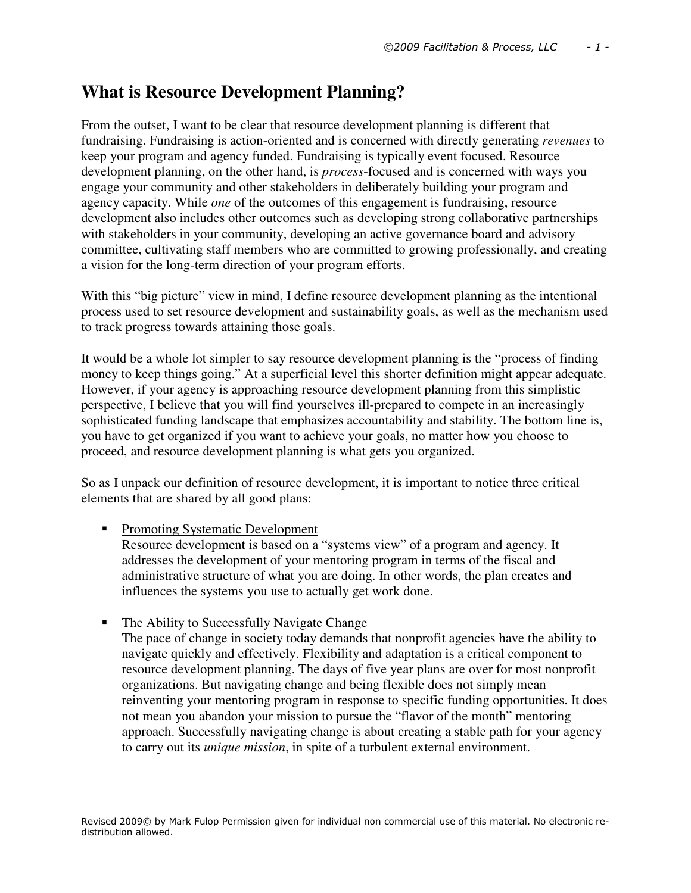# **What is Resource Development Planning?**

From the outset, I want to be clear that resource development planning is different that fundraising. Fundraising is action-oriented and is concerned with directly generating *revenues* to keep your program and agency funded. Fundraising is typically event focused. Resource development planning, on the other hand, is *process*-focused and is concerned with ways you engage your community and other stakeholders in deliberately building your program and agency capacity. While *one* of the outcomes of this engagement is fundraising, resource development also includes other outcomes such as developing strong collaborative partnerships with stakeholders in your community, developing an active governance board and advisory committee, cultivating staff members who are committed to growing professionally, and creating a vision for the long-term direction of your program efforts.

With this "big picture" view in mind, I define resource development planning as the intentional process used to set resource development and sustainability goals, as well as the mechanism used to track progress towards attaining those goals.

It would be a whole lot simpler to say resource development planning is the "process of finding money to keep things going." At a superficial level this shorter definition might appear adequate. However, if your agency is approaching resource development planning from this simplistic perspective, I believe that you will find yourselves ill-prepared to compete in an increasingly sophisticated funding landscape that emphasizes accountability and stability. The bottom line is, you have to get organized if you want to achieve your goals, no matter how you choose to proceed, and resource development planning is what gets you organized.

So as I unpack our definition of resource development, it is important to notice three critical elements that are shared by all good plans:

## • Promoting Systematic Development

Resource development is based on a "systems view" of a program and agency. It addresses the development of your mentoring program in terms of the fiscal and administrative structure of what you are doing. In other words, the plan creates and influences the systems you use to actually get work done.

• The Ability to Successfully Navigate Change

The pace of change in society today demands that nonprofit agencies have the ability to navigate quickly and effectively. Flexibility and adaptation is a critical component to resource development planning. The days of five year plans are over for most nonprofit organizations. But navigating change and being flexible does not simply mean reinventing your mentoring program in response to specific funding opportunities. It does not mean you abandon your mission to pursue the "flavor of the month" mentoring approach. Successfully navigating change is about creating a stable path for your agency to carry out its *unique mission*, in spite of a turbulent external environment.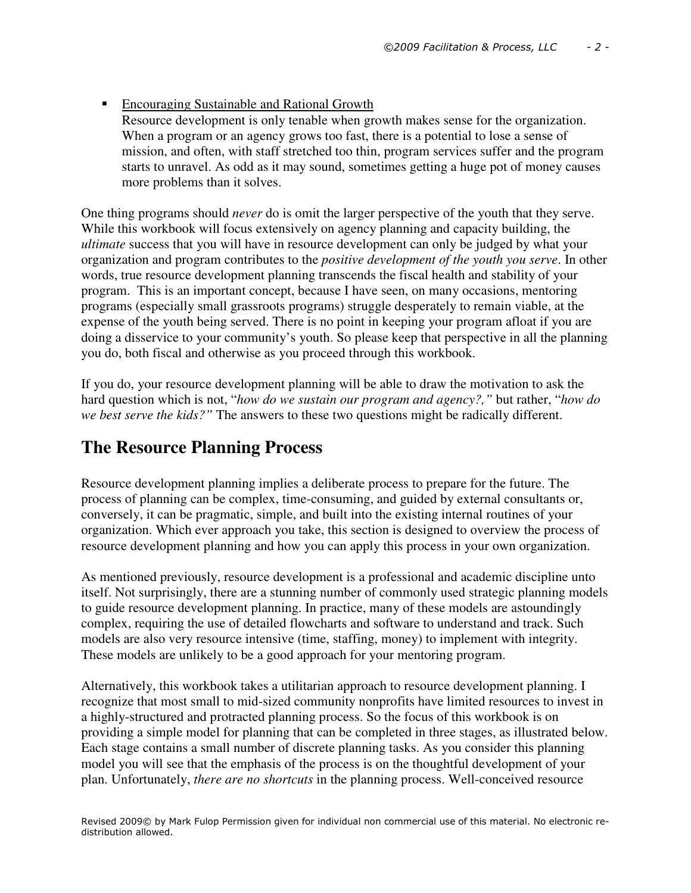■ Encouraging Sustainable and Rational Growth Resource development is only tenable when growth makes sense for the organization. When a program or an agency grows too fast, there is a potential to lose a sense of mission, and often, with staff stretched too thin, program services suffer and the program starts to unravel. As odd as it may sound, sometimes getting a huge pot of money causes more problems than it solves.

One thing programs should *never* do is omit the larger perspective of the youth that they serve. While this workbook will focus extensively on agency planning and capacity building, the *ultimate* success that you will have in resource development can only be judged by what your organization and program contributes to the *positive development of the youth you serve*. In other words, true resource development planning transcends the fiscal health and stability of your program. This is an important concept, because I have seen, on many occasions, mentoring programs (especially small grassroots programs) struggle desperately to remain viable, at the expense of the youth being served. There is no point in keeping your program afloat if you are doing a disservice to your community's youth. So please keep that perspective in all the planning you do, both fiscal and otherwise as you proceed through this workbook.

If you do, your resource development planning will be able to draw the motivation to ask the hard question which is not, "*how do we sustain our program and agency?,"* but rather, "*how do we best serve the kids?"* The answers to these two questions might be radically different.

## **The Resource Planning Process**

Resource development planning implies a deliberate process to prepare for the future. The process of planning can be complex, time-consuming, and guided by external consultants or, conversely, it can be pragmatic, simple, and built into the existing internal routines of your organization. Which ever approach you take, this section is designed to overview the process of resource development planning and how you can apply this process in your own organization.

As mentioned previously, resource development is a professional and academic discipline unto itself. Not surprisingly, there are a stunning number of commonly used strategic planning models to guide resource development planning. In practice, many of these models are astoundingly complex, requiring the use of detailed flowcharts and software to understand and track. Such models are also very resource intensive (time, staffing, money) to implement with integrity. These models are unlikely to be a good approach for your mentoring program.

Alternatively, this workbook takes a utilitarian approach to resource development planning. I recognize that most small to mid-sized community nonprofits have limited resources to invest in a highly-structured and protracted planning process. So the focus of this workbook is on providing a simple model for planning that can be completed in three stages, as illustrated below. Each stage contains a small number of discrete planning tasks. As you consider this planning model you will see that the emphasis of the process is on the thoughtful development of your plan. Unfortunately, *there are no shortcuts* in the planning process. Well-conceived resource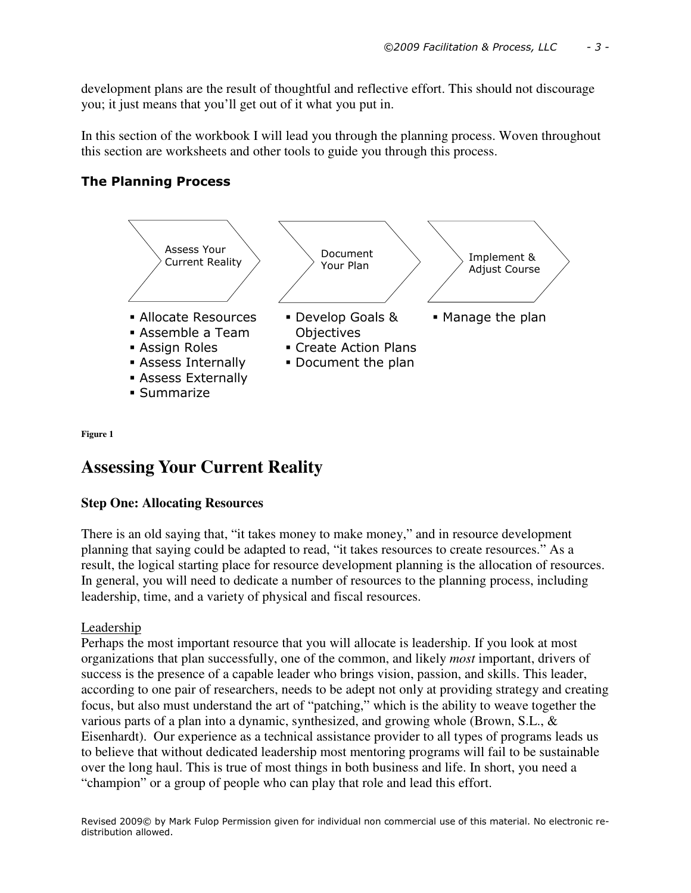development plans are the result of thoughtful and reflective effort. This should not discourage you; it just means that you'll get out of it what you put in.

In this section of the workbook I will lead you through the planning process. Woven throughout this section are worksheets and other tools to guide you through this process.

## The Planning Process



**Figure 1**

## **Assessing Your Current Reality**

## **Step One: Allocating Resources**

There is an old saying that, "it takes money to make money," and in resource development planning that saying could be adapted to read, "it takes resources to create resources." As a result, the logical starting place for resource development planning is the allocation of resources. In general, you will need to dedicate a number of resources to the planning process, including leadership, time, and a variety of physical and fiscal resources.

## Leadership

Perhaps the most important resource that you will allocate is leadership. If you look at most organizations that plan successfully, one of the common, and likely *most* important, drivers of success is the presence of a capable leader who brings vision, passion, and skills. This leader, according to one pair of researchers, needs to be adept not only at providing strategy and creating focus, but also must understand the art of "patching," which is the ability to weave together the various parts of a plan into a dynamic, synthesized, and growing whole (Brown, S.L., & Eisenhardt). Our experience as a technical assistance provider to all types of programs leads us to believe that without dedicated leadership most mentoring programs will fail to be sustainable over the long haul. This is true of most things in both business and life. In short, you need a "champion" or a group of people who can play that role and lead this effort.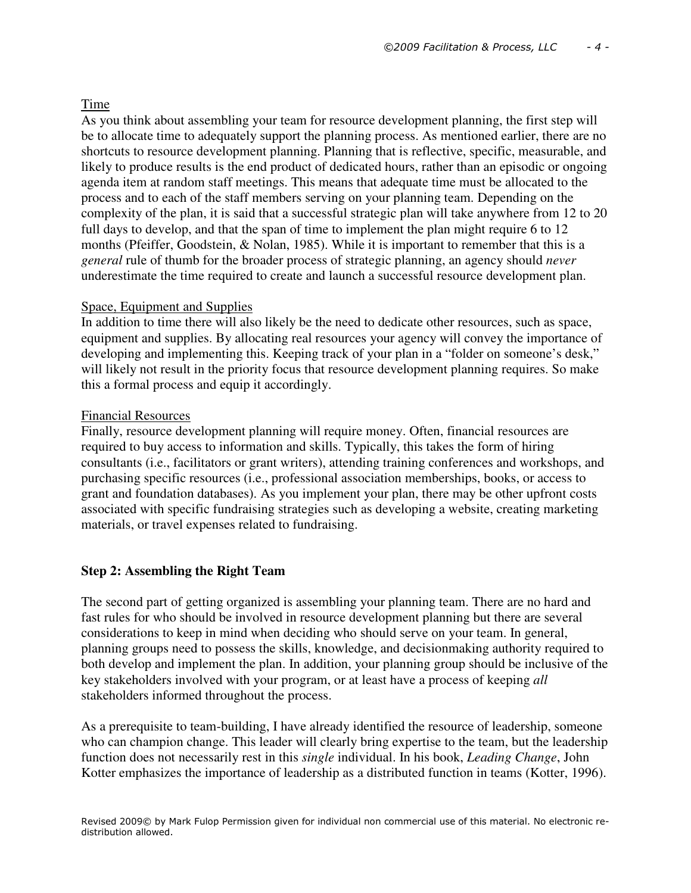## Time

As you think about assembling your team for resource development planning, the first step will be to allocate time to adequately support the planning process. As mentioned earlier, there are no shortcuts to resource development planning. Planning that is reflective, specific, measurable, and likely to produce results is the end product of dedicated hours, rather than an episodic or ongoing agenda item at random staff meetings. This means that adequate time must be allocated to the process and to each of the staff members serving on your planning team. Depending on the complexity of the plan, it is said that a successful strategic plan will take anywhere from 12 to 20 full days to develop, and that the span of time to implement the plan might require 6 to 12 months (Pfeiffer, Goodstein, & Nolan, 1985). While it is important to remember that this is a *general* rule of thumb for the broader process of strategic planning, an agency should *never*  underestimate the time required to create and launch a successful resource development plan.

## Space, Equipment and Supplies

In addition to time there will also likely be the need to dedicate other resources, such as space, equipment and supplies. By allocating real resources your agency will convey the importance of developing and implementing this. Keeping track of your plan in a "folder on someone's desk," will likely not result in the priority focus that resource development planning requires. So make this a formal process and equip it accordingly.

## Financial Resources

Finally, resource development planning will require money. Often, financial resources are required to buy access to information and skills. Typically, this takes the form of hiring consultants (i.e., facilitators or grant writers), attending training conferences and workshops, and purchasing specific resources (i.e., professional association memberships, books, or access to grant and foundation databases). As you implement your plan, there may be other upfront costs associated with specific fundraising strategies such as developing a website, creating marketing materials, or travel expenses related to fundraising.

## **Step 2: Assembling the Right Team**

The second part of getting organized is assembling your planning team. There are no hard and fast rules for who should be involved in resource development planning but there are several considerations to keep in mind when deciding who should serve on your team. In general, planning groups need to possess the skills, knowledge, and decisionmaking authority required to both develop and implement the plan. In addition, your planning group should be inclusive of the key stakeholders involved with your program, or at least have a process of keeping *all*  stakeholders informed throughout the process.

As a prerequisite to team-building, I have already identified the resource of leadership, someone who can champion change. This leader will clearly bring expertise to the team, but the leadership function does not necessarily rest in this *single* individual. In his book, *Leading Change*, John Kotter emphasizes the importance of leadership as a distributed function in teams (Kotter, 1996).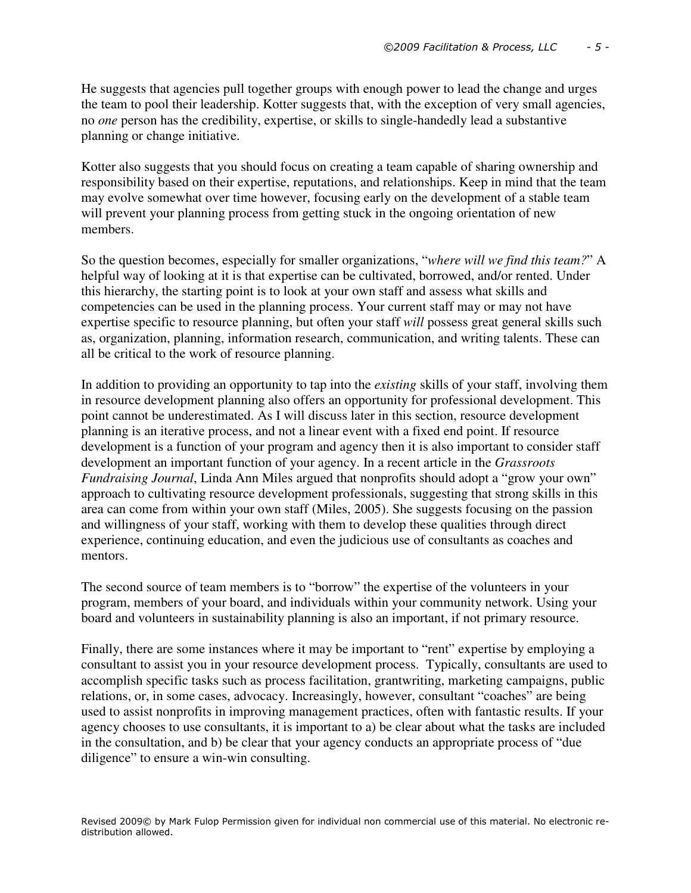He suggests that agencies pull together groups with enough power to lead the change and urges the team to pool their leadership. Kotter suggests that, with the exception of very small agencies, no *one* person has the credibility, expertise, or skills to single-handedly lead a substantive planning or change initiative.

Kotter also suggests that you should focus on creating a team capable of sharing ownership and responsibility based on their expertise, reputations, and relationships. Keep in mind that the team may evolve somewhat over time however, focusing early on the development of a stable team will prevent your planning process from getting stuck in the ongoing orientation of new members.

So the question becomes, especially for smaller organizations, "*where will we find this team?*" A helpful way of looking at it is that expertise can be cultivated, borrowed, and/or rented. Under this hierarchy, the starting point is to look at your own staff and assess what skills and competencies can be used in the planning process. Your current staff may or may not have expertise specific to resource planning, but often your staff *will* possess great general skills such as, organization, planning, information research, communication, and writing talents. These can all be critical to the work of resource planning.

In addition to providing an opportunity to tap into the *existing* skills of your staff, involving them in resource development planning also offers an opportunity for professional development. This point cannot be underestimated. As I will discuss later in this section, resource development planning is an iterative process, and not a linear event with a fixed end point. If resource development is a function of your program and agency then it is also important to consider staff development an important function of your agency. In a recent article in the *Grassroots Fundraising Journal*, Linda Ann Miles argued that nonprofits should adopt a "grow your own" approach to cultivating resource development professionals, suggesting that strong skills in this area can come from within your own staff (Miles, 2005). She suggests focusing on the passion and willingness of your staff, working with them to develop these qualities through direct experience, continuing education, and even the judicious use of consultants as coaches and mentors.

The second source of team members is to "borrow" the expertise of the volunteers in your program, members of your board, and individuals within your community network. Using your board and volunteers in sustainability planning is also an important, if not primary resource.

Finally, there are some instances where it may be important to "rent" expertise by employing a consultant to assist you in your resource development process. Typically, consultants are used to accomplish specific tasks such as process facilitation, grantwriting, marketing campaigns, public relations, or, in some cases, advocacy. Increasingly, however, consultant "coaches" are being used to assist nonprofits in improving management practices, often with fantastic results. If your agency chooses to use consultants, it is important to a) be clear about what the tasks are included in the consultation, and b) be clear that your agency conducts an appropriate process of "due diligence" to ensure a win-win consulting.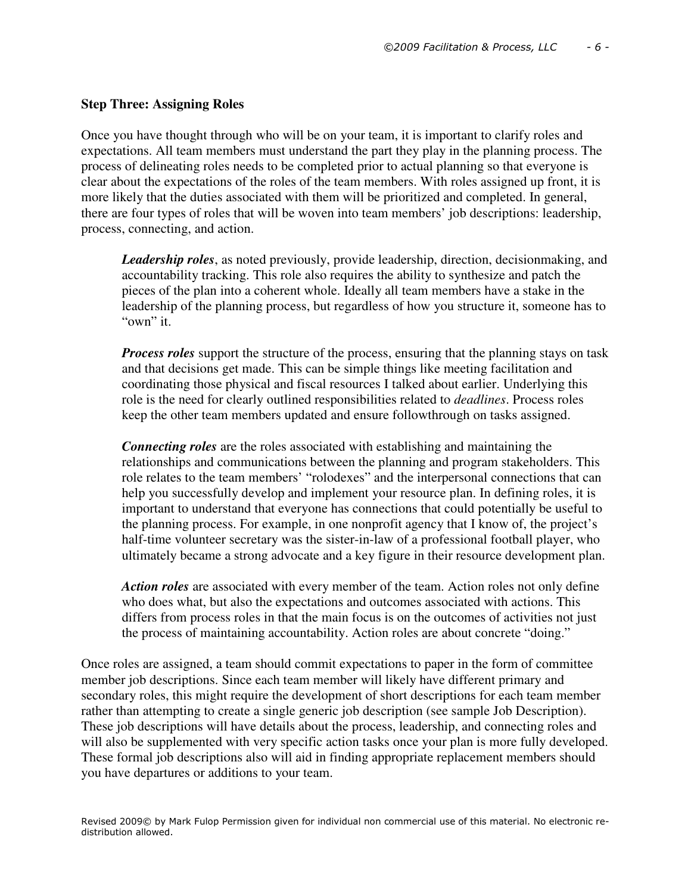#### **Step Three: Assigning Roles**

Once you have thought through who will be on your team, it is important to clarify roles and expectations. All team members must understand the part they play in the planning process. The process of delineating roles needs to be completed prior to actual planning so that everyone is clear about the expectations of the roles of the team members. With roles assigned up front, it is more likely that the duties associated with them will be prioritized and completed. In general, there are four types of roles that will be woven into team members' job descriptions: leadership, process, connecting, and action.

*Leadership roles*, as noted previously, provide leadership, direction, decisionmaking, and accountability tracking. This role also requires the ability to synthesize and patch the pieces of the plan into a coherent whole. Ideally all team members have a stake in the leadership of the planning process, but regardless of how you structure it, someone has to "own" it.

*Process roles* support the structure of the process, ensuring that the planning stays on task and that decisions get made. This can be simple things like meeting facilitation and coordinating those physical and fiscal resources I talked about earlier. Underlying this role is the need for clearly outlined responsibilities related to *deadlines*. Process roles keep the other team members updated and ensure followthrough on tasks assigned.

*Connecting roles* are the roles associated with establishing and maintaining the relationships and communications between the planning and program stakeholders. This role relates to the team members' "rolodexes" and the interpersonal connections that can help you successfully develop and implement your resource plan. In defining roles, it is important to understand that everyone has connections that could potentially be useful to the planning process. For example, in one nonprofit agency that I know of, the project's half-time volunteer secretary was the sister-in-law of a professional football player, who ultimately became a strong advocate and a key figure in their resource development plan.

*Action roles* are associated with every member of the team. Action roles not only define who does what, but also the expectations and outcomes associated with actions. This differs from process roles in that the main focus is on the outcomes of activities not just the process of maintaining accountability. Action roles are about concrete "doing."

Once roles are assigned, a team should commit expectations to paper in the form of committee member job descriptions. Since each team member will likely have different primary and secondary roles, this might require the development of short descriptions for each team member rather than attempting to create a single generic job description (see sample Job Description). These job descriptions will have details about the process, leadership, and connecting roles and will also be supplemented with very specific action tasks once your plan is more fully developed. These formal job descriptions also will aid in finding appropriate replacement members should you have departures or additions to your team.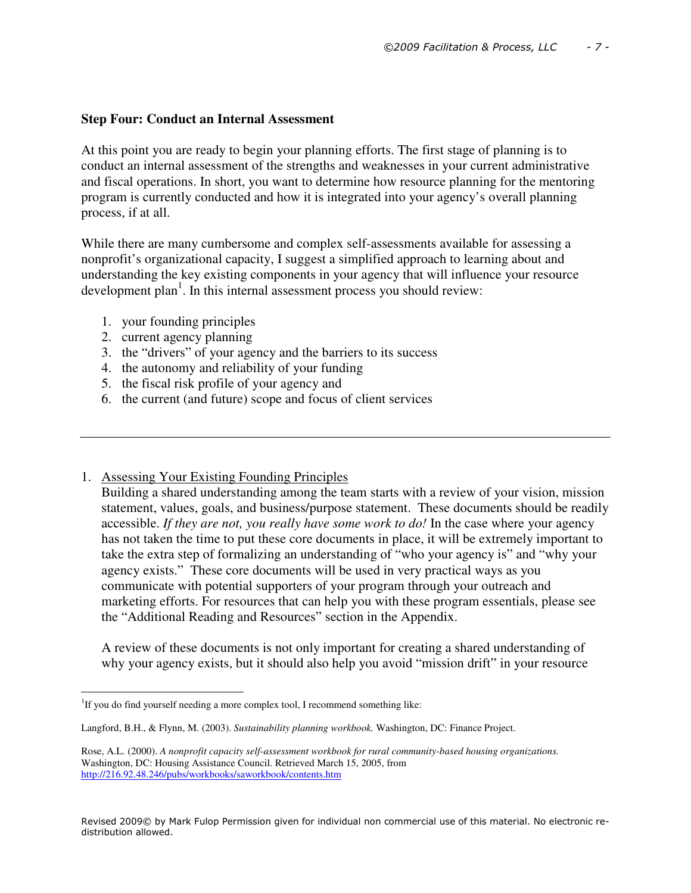## **Step Four: Conduct an Internal Assessment**

At this point you are ready to begin your planning efforts. The first stage of planning is to conduct an internal assessment of the strengths and weaknesses in your current administrative and fiscal operations. In short, you want to determine how resource planning for the mentoring program is currently conducted and how it is integrated into your agency's overall planning process, if at all.

While there are many cumbersome and complex self-assessments available for assessing a nonprofit's organizational capacity, I suggest a simplified approach to learning about and understanding the key existing components in your agency that will influence your resource development plan<sup>1</sup>. In this internal assessment process you should review:

- 1. your founding principles
- 2. current agency planning
- 3. the "drivers" of your agency and the barriers to its success
- 4. the autonomy and reliability of your funding
- 5. the fiscal risk profile of your agency and
- 6. the current (and future) scope and focus of client services
- 1. Assessing Your Existing Founding Principles

Building a shared understanding among the team starts with a review of your vision, mission statement, values, goals, and business/purpose statement. These documents should be readily accessible. *If they are not, you really have some work to do!* In the case where your agency has not taken the time to put these core documents in place, it will be extremely important to take the extra step of formalizing an understanding of "who your agency is" and "why your agency exists." These core documents will be used in very practical ways as you communicate with potential supporters of your program through your outreach and marketing efforts. For resources that can help you with these program essentials, please see the "Additional Reading and Resources" section in the Appendix.

A review of these documents is not only important for creating a shared understanding of why your agency exists, but it should also help you avoid "mission drift" in your resource

i<br>I <sup>1</sup>If you do find yourself needing a more complex tool, I recommend something like:

Langford, B.H., & Flynn, M. (2003). *Sustainability planning workbook.* Washington, DC: Finance Project.

Rose, A.L. (2000). *A nonprofit capacity self-assessment workbook for rural community-based housing organizations.*  Washington, DC: Housing Assistance Council. Retrieved March 15, 2005, from http://216.92.48.246/pubs/workbooks/saworkbook/contents.htm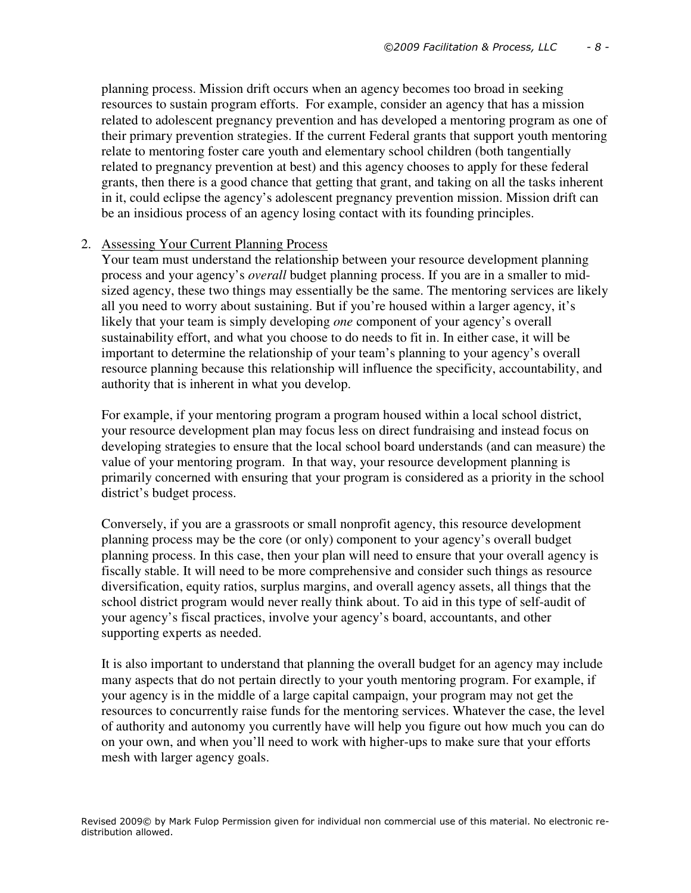planning process. Mission drift occurs when an agency becomes too broad in seeking resources to sustain program efforts. For example, consider an agency that has a mission related to adolescent pregnancy prevention and has developed a mentoring program as one of their primary prevention strategies. If the current Federal grants that support youth mentoring relate to mentoring foster care youth and elementary school children (both tangentially related to pregnancy prevention at best) and this agency chooses to apply for these federal grants, then there is a good chance that getting that grant, and taking on all the tasks inherent in it, could eclipse the agency's adolescent pregnancy prevention mission. Mission drift can be an insidious process of an agency losing contact with its founding principles.

#### 2. Assessing Your Current Planning Process

Your team must understand the relationship between your resource development planning process and your agency's *overall* budget planning process. If you are in a smaller to midsized agency, these two things may essentially be the same. The mentoring services are likely all you need to worry about sustaining. But if you're housed within a larger agency, it's likely that your team is simply developing *one* component of your agency's overall sustainability effort, and what you choose to do needs to fit in. In either case, it will be important to determine the relationship of your team's planning to your agency's overall resource planning because this relationship will influence the specificity, accountability, and authority that is inherent in what you develop.

For example, if your mentoring program a program housed within a local school district, your resource development plan may focus less on direct fundraising and instead focus on developing strategies to ensure that the local school board understands (and can measure) the value of your mentoring program. In that way, your resource development planning is primarily concerned with ensuring that your program is considered as a priority in the school district's budget process.

Conversely, if you are a grassroots or small nonprofit agency, this resource development planning process may be the core (or only) component to your agency's overall budget planning process. In this case, then your plan will need to ensure that your overall agency is fiscally stable. It will need to be more comprehensive and consider such things as resource diversification, equity ratios, surplus margins, and overall agency assets, all things that the school district program would never really think about. To aid in this type of self-audit of your agency's fiscal practices, involve your agency's board, accountants, and other supporting experts as needed.

It is also important to understand that planning the overall budget for an agency may include many aspects that do not pertain directly to your youth mentoring program. For example, if your agency is in the middle of a large capital campaign, your program may not get the resources to concurrently raise funds for the mentoring services. Whatever the case, the level of authority and autonomy you currently have will help you figure out how much you can do on your own, and when you'll need to work with higher-ups to make sure that your efforts mesh with larger agency goals.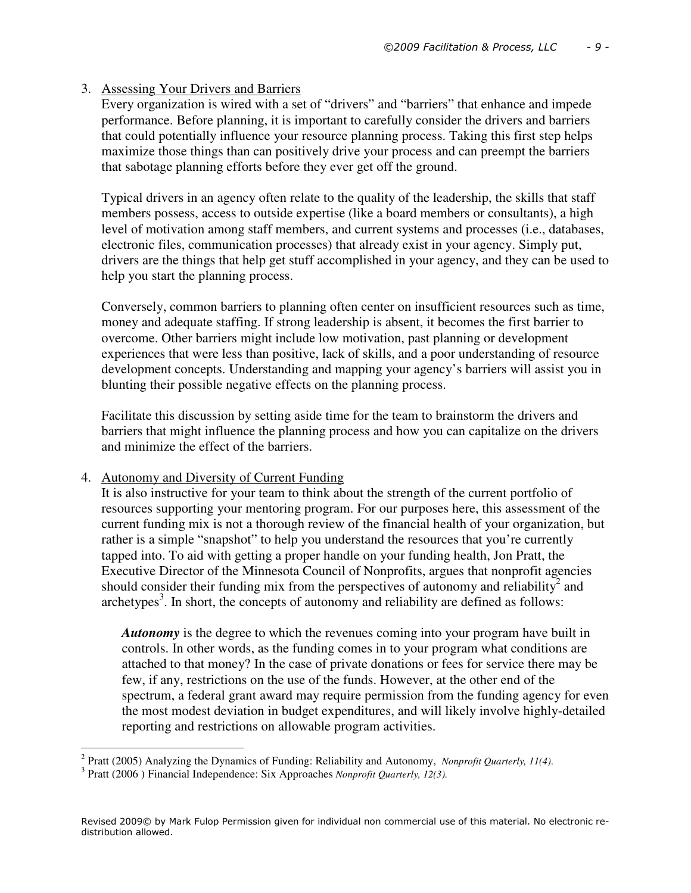## 3. Assessing Your Drivers and Barriers

Every organization is wired with a set of "drivers" and "barriers" that enhance and impede performance. Before planning, it is important to carefully consider the drivers and barriers that could potentially influence your resource planning process. Taking this first step helps maximize those things than can positively drive your process and can preempt the barriers that sabotage planning efforts before they ever get off the ground.

Typical drivers in an agency often relate to the quality of the leadership, the skills that staff members possess, access to outside expertise (like a board members or consultants), a high level of motivation among staff members, and current systems and processes (i.e., databases, electronic files, communication processes) that already exist in your agency. Simply put, drivers are the things that help get stuff accomplished in your agency, and they can be used to help you start the planning process.

Conversely, common barriers to planning often center on insufficient resources such as time, money and adequate staffing. If strong leadership is absent, it becomes the first barrier to overcome. Other barriers might include low motivation, past planning or development experiences that were less than positive, lack of skills, and a poor understanding of resource development concepts. Understanding and mapping your agency's barriers will assist you in blunting their possible negative effects on the planning process.

Facilitate this discussion by setting aside time for the team to brainstorm the drivers and barriers that might influence the planning process and how you can capitalize on the drivers and minimize the effect of the barriers.

## 4. Autonomy and Diversity of Current Funding

It is also instructive for your team to think about the strength of the current portfolio of resources supporting your mentoring program. For our purposes here, this assessment of the current funding mix is not a thorough review of the financial health of your organization, but rather is a simple "snapshot" to help you understand the resources that you're currently tapped into. To aid with getting a proper handle on your funding health, Jon Pratt, the Executive Director of the Minnesota Council of Nonprofits, argues that nonprofit agencies should consider their funding mix from the perspectives of autonomy and reliability<sup>2</sup> and  $archetypes<sup>3</sup>$ . In short, the concepts of autonomy and reliability are defined as follows:

*Autonomy* is the degree to which the revenues coming into your program have built in controls. In other words, as the funding comes in to your program what conditions are attached to that money? In the case of private donations or fees for service there may be few, if any, restrictions on the use of the funds. However, at the other end of the spectrum, a federal grant award may require permission from the funding agency for even the most modest deviation in budget expenditures, and will likely involve highly-detailed reporting and restrictions on allowable program activities.

 2 Pratt (2005) Analyzing the Dynamics of Funding: Reliability and Autonomy, *Nonprofit Quarterly, 11(4)*.

<sup>3</sup> Pratt (2006 ) Financial Independence: Six Approaches *Nonprofit Quarterly, 12(3).*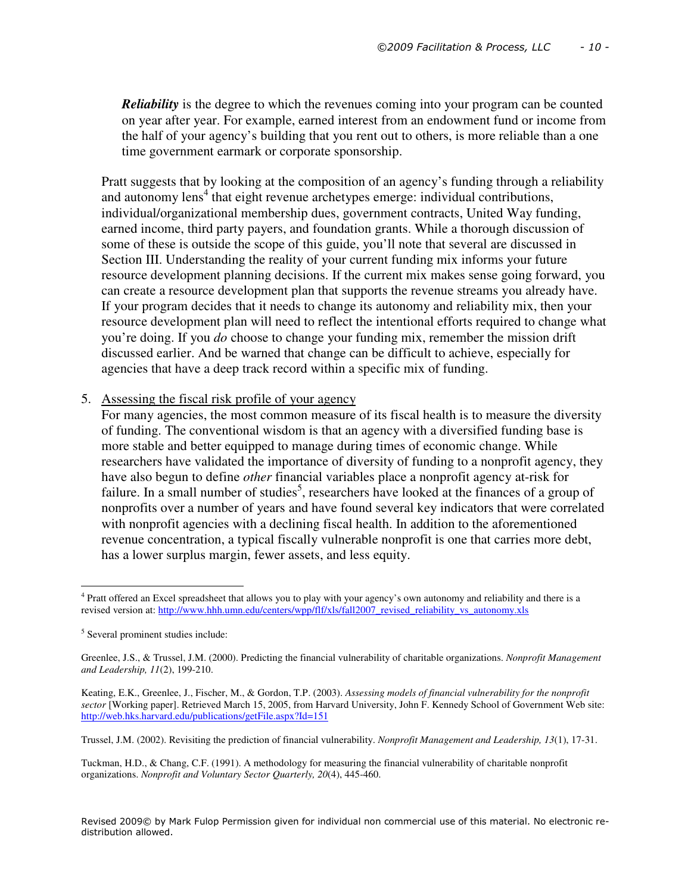*Reliability* is the degree to which the revenues coming into your program can be counted on year after year. For example, earned interest from an endowment fund or income from the half of your agency's building that you rent out to others, is more reliable than a one time government earmark or corporate sponsorship.

Pratt suggests that by looking at the composition of an agency's funding through a reliability and autonomy lens<sup>4</sup> that eight revenue archetypes emerge: individual contributions, individual/organizational membership dues, government contracts, United Way funding, earned income, third party payers, and foundation grants. While a thorough discussion of some of these is outside the scope of this guide, you'll note that several are discussed in Section III. Understanding the reality of your current funding mix informs your future resource development planning decisions. If the current mix makes sense going forward, you can create a resource development plan that supports the revenue streams you already have. If your program decides that it needs to change its autonomy and reliability mix, then your resource development plan will need to reflect the intentional efforts required to change what you're doing. If you *do* choose to change your funding mix, remember the mission drift discussed earlier. And be warned that change can be difficult to achieve, especially for agencies that have a deep track record within a specific mix of funding.

#### 5. Assessing the fiscal risk profile of your agency

For many agencies, the most common measure of its fiscal health is to measure the diversity of funding. The conventional wisdom is that an agency with a diversified funding base is more stable and better equipped to manage during times of economic change. While researchers have validated the importance of diversity of funding to a nonprofit agency, they have also begun to define *other* financial variables place a nonprofit agency at-risk for failure. In a small number of studies<sup>5</sup>, researchers have looked at the finances of a group of nonprofits over a number of years and have found several key indicators that were correlated with nonprofit agencies with a declining fiscal health. In addition to the aforementioned revenue concentration, a typical fiscally vulnerable nonprofit is one that carries more debt, has a lower surplus margin, fewer assets, and less equity.

l

Tuckman, H.D., & Chang, C.F. (1991). A methodology for measuring the financial vulnerability of charitable nonprofit organizations. *Nonprofit and Voluntary Sector Quarterly, 20*(4), 445-460.

<sup>&</sup>lt;sup>4</sup> Pratt offered an Excel spreadsheet that allows you to play with your agency's own autonomy and reliability and there is a revised version at: http://www.hhh.umn.edu/centers/wpp/flf/xls/fall2007\_revised\_reliability\_vs\_autonomy.xls

<sup>5</sup> Several prominent studies include:

Greenlee, J.S., & Trussel, J.M. (2000). Predicting the financial vulnerability of charitable organizations. *Nonprofit Management and Leadership, 11*(2), 199-210.

Keating, E.K., Greenlee, J., Fischer, M., & Gordon, T.P. (2003). *Assessing models of financial vulnerability for the nonprofit sector* [Working paper]. Retrieved March 15, 2005, from Harvard University, John F. Kennedy School of Government Web site: http://web.hks.harvard.edu/publications/getFile.aspx?Id=151

Trussel, J.M. (2002). Revisiting the prediction of financial vulnerability. *Nonprofit Management and Leadership, 13*(1), 17-31.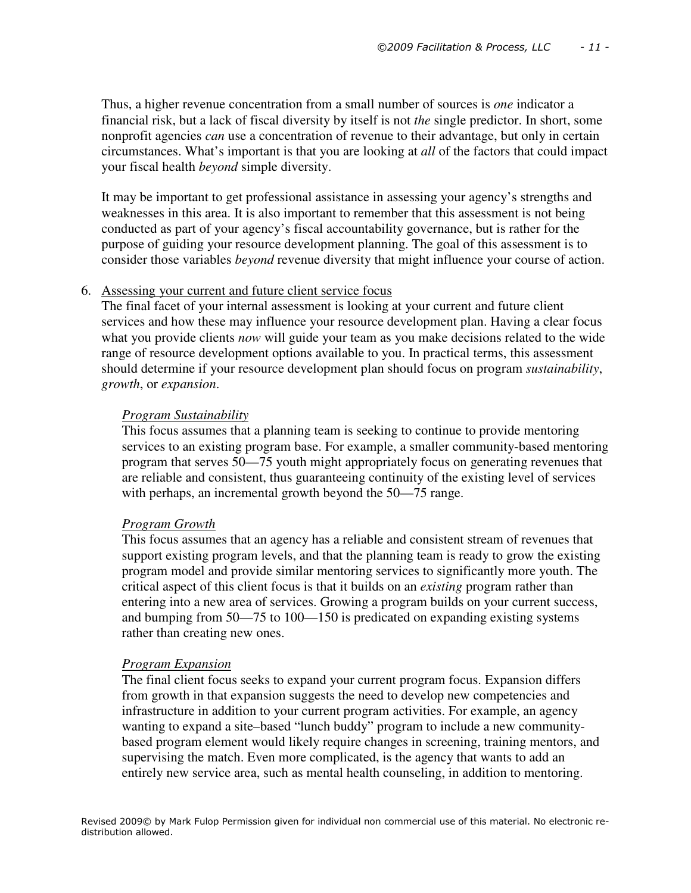Thus, a higher revenue concentration from a small number of sources is *one* indicator a financial risk, but a lack of fiscal diversity by itself is not *the* single predictor. In short, some nonprofit agencies *can* use a concentration of revenue to their advantage, but only in certain circumstances. What's important is that you are looking at *all* of the factors that could impact your fiscal health *beyond* simple diversity.

It may be important to get professional assistance in assessing your agency's strengths and weaknesses in this area. It is also important to remember that this assessment is not being conducted as part of your agency's fiscal accountability governance, but is rather for the purpose of guiding your resource development planning. The goal of this assessment is to consider those variables *beyond* revenue diversity that might influence your course of action.

#### 6. Assessing your current and future client service focus

The final facet of your internal assessment is looking at your current and future client services and how these may influence your resource development plan. Having a clear focus what you provide clients *now* will guide your team as you make decisions related to the wide range of resource development options available to you. In practical terms, this assessment should determine if your resource development plan should focus on program *sustainability*, *growth*, or *expansion*.

#### *Program Sustainability*

This focus assumes that a planning team is seeking to continue to provide mentoring services to an existing program base. For example, a smaller community-based mentoring program that serves 50—75 youth might appropriately focus on generating revenues that are reliable and consistent, thus guaranteeing continuity of the existing level of services with perhaps, an incremental growth beyond the 50—75 range.

#### *Program Growth*

This focus assumes that an agency has a reliable and consistent stream of revenues that support existing program levels, and that the planning team is ready to grow the existing program model and provide similar mentoring services to significantly more youth. The critical aspect of this client focus is that it builds on an *existing* program rather than entering into a new area of services. Growing a program builds on your current success, and bumping from 50—75 to 100—150 is predicated on expanding existing systems rather than creating new ones.

#### *Program Expansion*

The final client focus seeks to expand your current program focus. Expansion differs from growth in that expansion suggests the need to develop new competencies and infrastructure in addition to your current program activities. For example, an agency wanting to expand a site–based "lunch buddy" program to include a new communitybased program element would likely require changes in screening, training mentors, and supervising the match. Even more complicated, is the agency that wants to add an entirely new service area, such as mental health counseling, in addition to mentoring.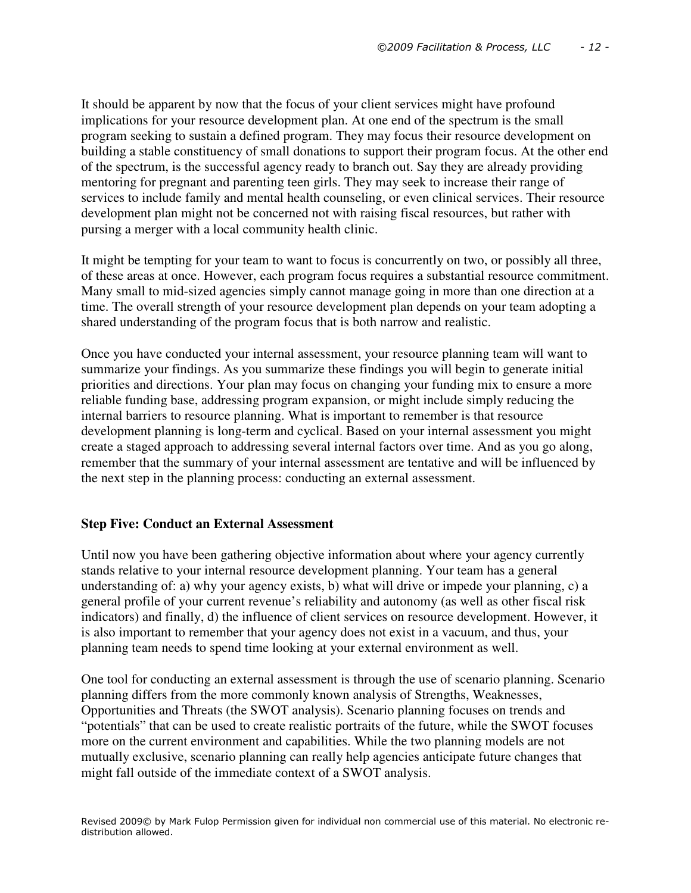It should be apparent by now that the focus of your client services might have profound implications for your resource development plan. At one end of the spectrum is the small program seeking to sustain a defined program. They may focus their resource development on building a stable constituency of small donations to support their program focus. At the other end of the spectrum, is the successful agency ready to branch out. Say they are already providing mentoring for pregnant and parenting teen girls. They may seek to increase their range of services to include family and mental health counseling, or even clinical services. Their resource development plan might not be concerned not with raising fiscal resources, but rather with pursing a merger with a local community health clinic.

It might be tempting for your team to want to focus is concurrently on two, or possibly all three, of these areas at once. However, each program focus requires a substantial resource commitment. Many small to mid-sized agencies simply cannot manage going in more than one direction at a time. The overall strength of your resource development plan depends on your team adopting a shared understanding of the program focus that is both narrow and realistic.

Once you have conducted your internal assessment, your resource planning team will want to summarize your findings. As you summarize these findings you will begin to generate initial priorities and directions. Your plan may focus on changing your funding mix to ensure a more reliable funding base, addressing program expansion, or might include simply reducing the internal barriers to resource planning. What is important to remember is that resource development planning is long-term and cyclical. Based on your internal assessment you might create a staged approach to addressing several internal factors over time. And as you go along, remember that the summary of your internal assessment are tentative and will be influenced by the next step in the planning process: conducting an external assessment.

## **Step Five: Conduct an External Assessment**

Until now you have been gathering objective information about where your agency currently stands relative to your internal resource development planning. Your team has a general understanding of: a) why your agency exists, b) what will drive or impede your planning, c) a general profile of your current revenue's reliability and autonomy (as well as other fiscal risk indicators) and finally, d) the influence of client services on resource development. However, it is also important to remember that your agency does not exist in a vacuum, and thus, your planning team needs to spend time looking at your external environment as well.

One tool for conducting an external assessment is through the use of scenario planning. Scenario planning differs from the more commonly known analysis of Strengths, Weaknesses, Opportunities and Threats (the SWOT analysis). Scenario planning focuses on trends and "potentials" that can be used to create realistic portraits of the future, while the SWOT focuses more on the current environment and capabilities. While the two planning models are not mutually exclusive, scenario planning can really help agencies anticipate future changes that might fall outside of the immediate context of a SWOT analysis.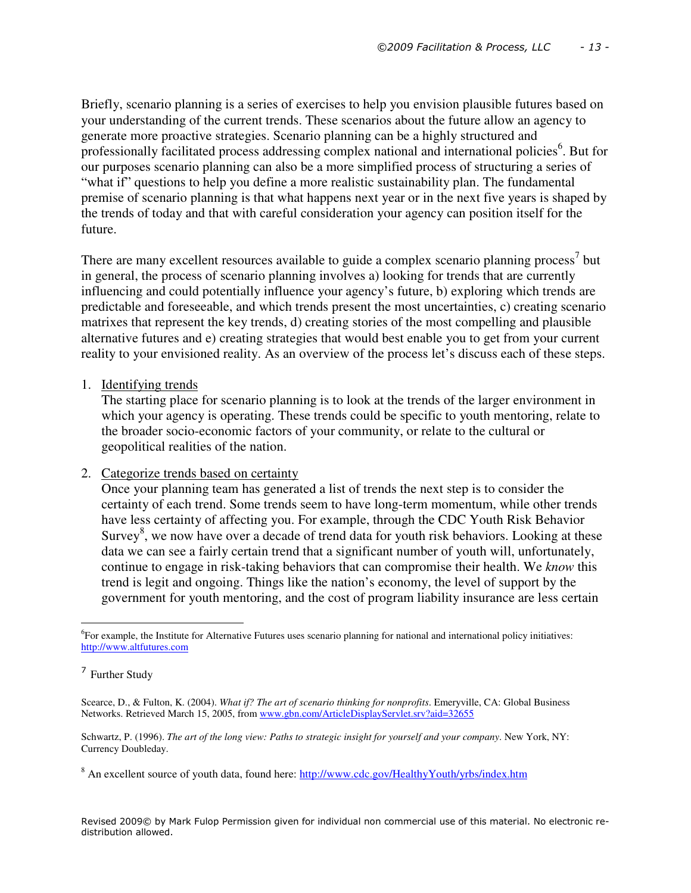Briefly, scenario planning is a series of exercises to help you envision plausible futures based on your understanding of the current trends. These scenarios about the future allow an agency to generate more proactive strategies. Scenario planning can be a highly structured and professionally facilitated process addressing complex national and international policies<sup>6</sup>. But for our purposes scenario planning can also be a more simplified process of structuring a series of "what if" questions to help you define a more realistic sustainability plan. The fundamental premise of scenario planning is that what happens next year or in the next five years is shaped by the trends of today and that with careful consideration your agency can position itself for the future.

There are many excellent resources available to guide a complex scenario planning process<sup>7</sup> but in general, the process of scenario planning involves a) looking for trends that are currently influencing and could potentially influence your agency's future, b) exploring which trends are predictable and foreseeable, and which trends present the most uncertainties, c) creating scenario matrixes that represent the key trends, d) creating stories of the most compelling and plausible alternative futures and e) creating strategies that would best enable you to get from your current reality to your envisioned reality. As an overview of the process let's discuss each of these steps.

1. Identifying trends

The starting place for scenario planning is to look at the trends of the larger environment in which your agency is operating. These trends could be specific to youth mentoring, relate to the broader socio-economic factors of your community, or relate to the cultural or geopolitical realities of the nation.

2. Categorize trends based on certainty

Once your planning team has generated a list of trends the next step is to consider the certainty of each trend. Some trends seem to have long-term momentum, while other trends have less certainty of affecting you. For example, through the CDC Youth Risk Behavior Survey<sup>8</sup>, we now have over a decade of trend data for youth risk behaviors. Looking at these data we can see a fairly certain trend that a significant number of youth will, unfortunately, continue to engage in risk-taking behaviors that can compromise their health. We *know* this trend is legit and ongoing. Things like the nation's economy, the level of support by the government for youth mentoring, and the cost of program liability insurance are less certain

l

<sup>6</sup> For example, the Institute for Alternative Futures uses scenario planning for national and international policy initiatives: http://www.altfutures.com

<sup>7</sup> Further Study

Scearce, D., & Fulton, K. (2004). *What if? The art of scenario thinking for nonprofits*. Emeryville, CA: Global Business Networks. Retrieved March 15, 2005, from www.gbn.com/ArticleDisplayServlet.srv?aid=32655

Schwartz, P. (1996). *The art of the long view: Paths to strategic insight for yourself and your company*. New York, NY: Currency Doubleday.

<sup>&</sup>lt;sup>8</sup> An excellent source of youth data, found here: http://www.cdc.gov/HealthyYouth/yrbs/index.htm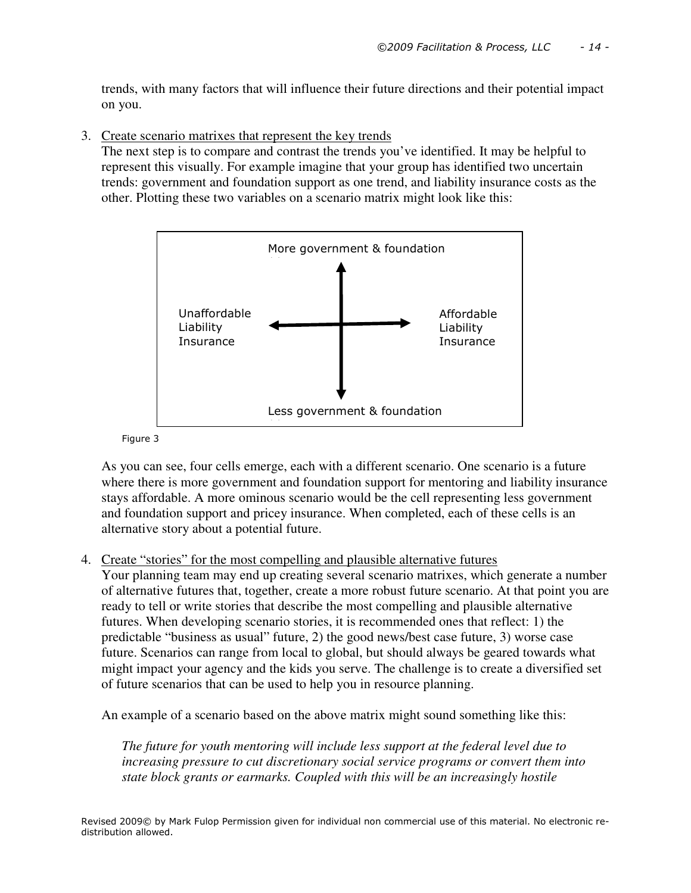trends, with many factors that will influence their future directions and their potential impact on you.

3. Create scenario matrixes that represent the key trends

The next step is to compare and contrast the trends you've identified. It may be helpful to represent this visually. For example imagine that your group has identified two uncertain trends: government and foundation support as one trend, and liability insurance costs as the other. Plotting these two variables on a scenario matrix might look like this:



#### Figure 3

As you can see, four cells emerge, each with a different scenario. One scenario is a future where there is more government and foundation support for mentoring and liability insurance stays affordable. A more ominous scenario would be the cell representing less government and foundation support and pricey insurance. When completed, each of these cells is an alternative story about a potential future.

## 4. Create "stories" for the most compelling and plausible alternative futures

Your planning team may end up creating several scenario matrixes, which generate a number of alternative futures that, together, create a more robust future scenario. At that point you are ready to tell or write stories that describe the most compelling and plausible alternative futures. When developing scenario stories, it is recommended ones that reflect: 1) the predictable "business as usual" future, 2) the good news/best case future, 3) worse case future. Scenarios can range from local to global, but should always be geared towards what might impact your agency and the kids you serve. The challenge is to create a diversified set of future scenarios that can be used to help you in resource planning.

An example of a scenario based on the above matrix might sound something like this:

*The future for youth mentoring will include less support at the federal level due to increasing pressure to cut discretionary social service programs or convert them into state block grants or earmarks. Coupled with this will be an increasingly hostile*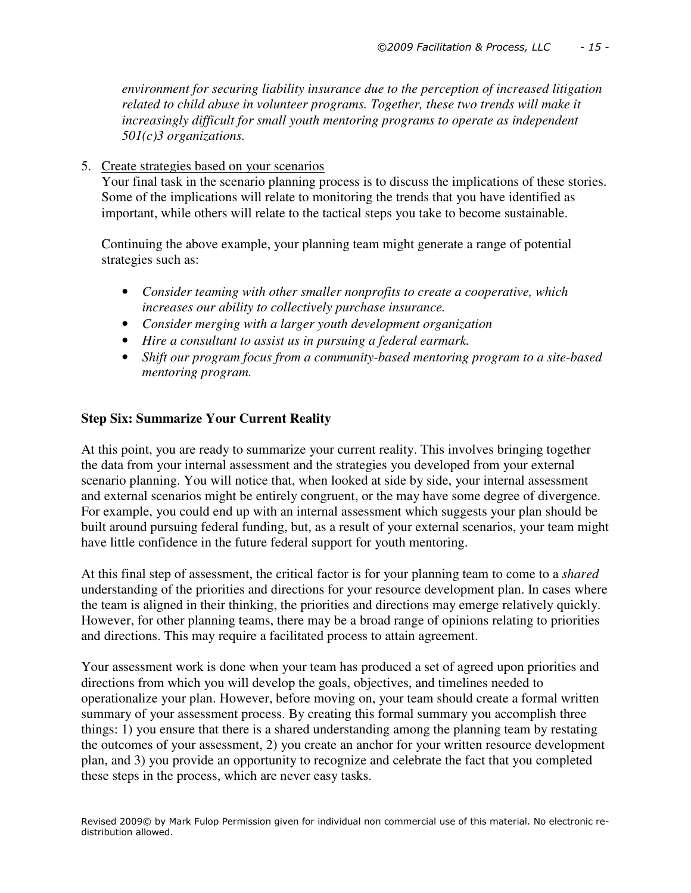*environment for securing liability insurance due to the perception of increased litigation related to child abuse in volunteer programs. Together, these two trends will make it increasingly difficult for small youth mentoring programs to operate as independent 501(c)3 organizations.* 

5. Create strategies based on your scenarios

Your final task in the scenario planning process is to discuss the implications of these stories. Some of the implications will relate to monitoring the trends that you have identified as important, while others will relate to the tactical steps you take to become sustainable.

Continuing the above example, your planning team might generate a range of potential strategies such as:

- *Consider teaming with other smaller nonprofits to create a cooperative, which increases our ability to collectively purchase insurance.*
- *Consider merging with a larger youth development organization*
- *Hire a consultant to assist us in pursuing a federal earmark.*
- *Shift our program focus from a community-based mentoring program to a site-based mentoring program.*

## **Step Six: Summarize Your Current Reality**

At this point, you are ready to summarize your current reality. This involves bringing together the data from your internal assessment and the strategies you developed from your external scenario planning. You will notice that, when looked at side by side, your internal assessment and external scenarios might be entirely congruent, or the may have some degree of divergence. For example, you could end up with an internal assessment which suggests your plan should be built around pursuing federal funding, but, as a result of your external scenarios, your team might have little confidence in the future federal support for youth mentoring.

At this final step of assessment, the critical factor is for your planning team to come to a *shared* understanding of the priorities and directions for your resource development plan. In cases where the team is aligned in their thinking, the priorities and directions may emerge relatively quickly. However, for other planning teams, there may be a broad range of opinions relating to priorities and directions. This may require a facilitated process to attain agreement.

Your assessment work is done when your team has produced a set of agreed upon priorities and directions from which you will develop the goals, objectives, and timelines needed to operationalize your plan. However, before moving on, your team should create a formal written summary of your assessment process. By creating this formal summary you accomplish three things: 1) you ensure that there is a shared understanding among the planning team by restating the outcomes of your assessment, 2) you create an anchor for your written resource development plan, and 3) you provide an opportunity to recognize and celebrate the fact that you completed these steps in the process, which are never easy tasks.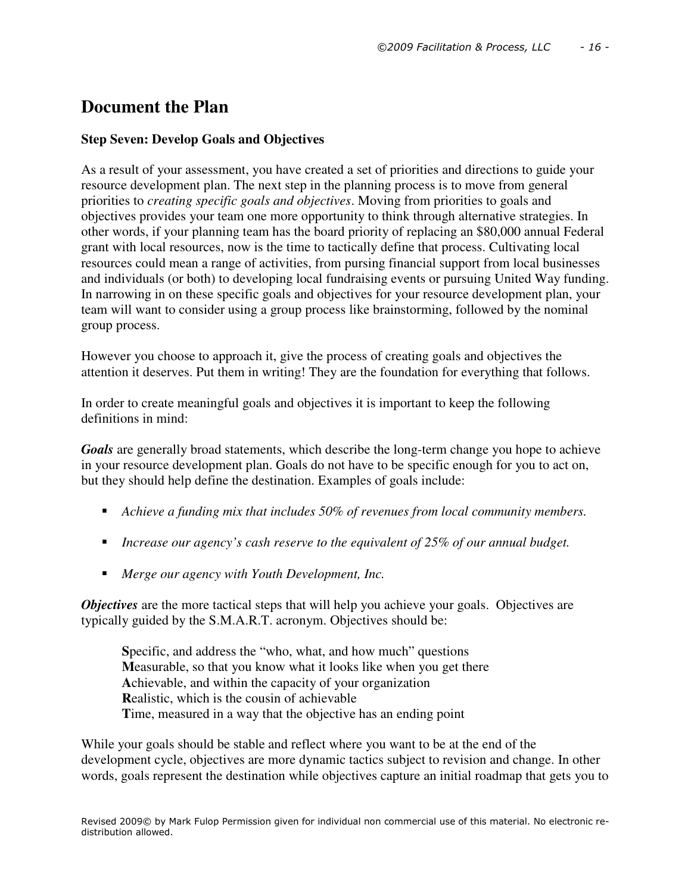# **Document the Plan**

## **Step Seven: Develop Goals and Objectives**

As a result of your assessment, you have created a set of priorities and directions to guide your resource development plan. The next step in the planning process is to move from general priorities to *creating specific goals and objectives*. Moving from priorities to goals and objectives provides your team one more opportunity to think through alternative strategies. In other words, if your planning team has the board priority of replacing an \$80,000 annual Federal grant with local resources, now is the time to tactically define that process. Cultivating local resources could mean a range of activities, from pursing financial support from local businesses and individuals (or both) to developing local fundraising events or pursuing United Way funding. In narrowing in on these specific goals and objectives for your resource development plan, your team will want to consider using a group process like brainstorming, followed by the nominal group process.

However you choose to approach it, give the process of creating goals and objectives the attention it deserves. Put them in writing! They are the foundation for everything that follows.

In order to create meaningful goals and objectives it is important to keep the following definitions in mind:

*Goals* are generally broad statements, which describe the long-term change you hope to achieve in your resource development plan. Goals do not have to be specific enough for you to act on, but they should help define the destination. Examples of goals include:

- *Achieve a funding mix that includes 50% of revenues from local community members.*
- *Increase our agency's cash reserve to the equivalent of 25% of our annual budget.*
- *Merge our agency with Youth Development, Inc.*

*Objectives* are the more tactical steps that will help you achieve your goals. Objectives are typically guided by the S.M.A.R.T. acronym. Objectives should be:

**S**pecific, and address the "who, what, and how much" questions **M**easurable, so that you know what it looks like when you get there **A**chievable, and within the capacity of your organization **R**ealistic, which is the cousin of achievable **T**ime, measured in a way that the objective has an ending point

While your goals should be stable and reflect where you want to be at the end of the development cycle, objectives are more dynamic tactics subject to revision and change. In other words, goals represent the destination while objectives capture an initial roadmap that gets you to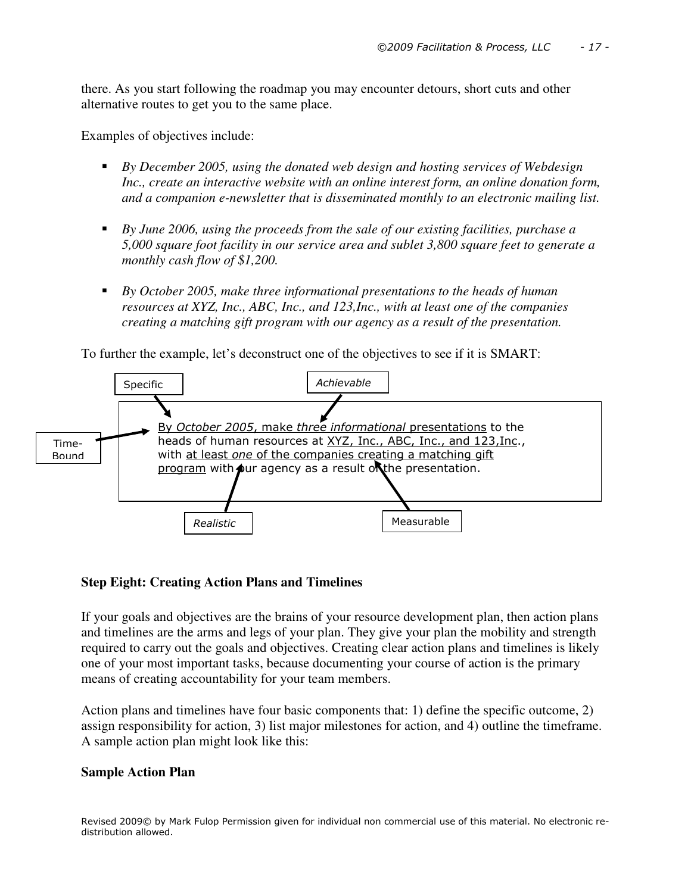there. As you start following the roadmap you may encounter detours, short cuts and other alternative routes to get you to the same place.

Examples of objectives include:

- *By December 2005, using the donated web design and hosting services of Webdesign Inc., create an interactive website with an online interest form, an online donation form, and a companion e-newsletter that is disseminated monthly to an electronic mailing list.*
- *By June 2006, using the proceeds from the sale of our existing facilities, purchase a 5,000 square foot facility in our service area and sublet 3,800 square feet to generate a monthly cash flow of \$1,200.*
- **By October 2005, make three informational presentations to the heads of human** *resources at XYZ, Inc., ABC, Inc., and 123,Inc., with at least one of the companies creating a matching gift program with our agency as a result of the presentation.*

To further the example, let's deconstruct one of the objectives to see if it is SMART:



## **Step Eight: Creating Action Plans and Timelines**

If your goals and objectives are the brains of your resource development plan, then action plans and timelines are the arms and legs of your plan. They give your plan the mobility and strength required to carry out the goals and objectives. Creating clear action plans and timelines is likely one of your most important tasks, because documenting your course of action is the primary means of creating accountability for your team members.

Action plans and timelines have four basic components that: 1) define the specific outcome, 2) assign responsibility for action, 3) list major milestones for action, and 4) outline the timeframe. A sample action plan might look like this:

## **Sample Action Plan**

Revised 2009© by Mark Fulop Permission given for individual non commercial use of this material. No electronic redistribution allowed.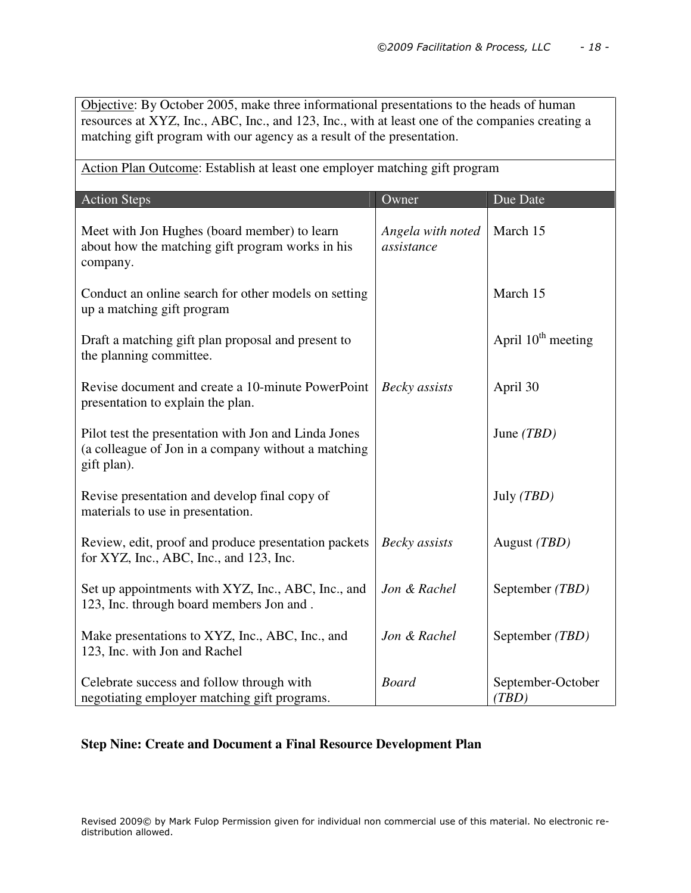Objective: By October 2005, make three informational presentations to the heads of human resources at XYZ, Inc., ABC, Inc., and 123, Inc., with at least one of the companies creating a matching gift program with our agency as a result of the presentation.

Action Plan Outcome: Establish at least one employer matching gift program

| <b>Action Steps</b>                                                                                                        | Owner                           | Due Date                   |
|----------------------------------------------------------------------------------------------------------------------------|---------------------------------|----------------------------|
| Meet with Jon Hughes (board member) to learn<br>about how the matching gift program works in his<br>company.               | Angela with noted<br>assistance | March 15                   |
| Conduct an online search for other models on setting<br>up a matching gift program                                         |                                 | March 15                   |
| Draft a matching gift plan proposal and present to<br>the planning committee.                                              |                                 | April $10^{th}$ meeting    |
| Revise document and create a 10-minute PowerPoint<br>presentation to explain the plan.                                     | Becky assists                   | April 30                   |
| Pilot test the presentation with Jon and Linda Jones<br>(a colleague of Jon in a company without a matching<br>gift plan). |                                 | June $(TBD)$               |
| Revise presentation and develop final copy of<br>materials to use in presentation.                                         |                                 | July (TBD)                 |
| Review, edit, proof and produce presentation packets<br>for XYZ, Inc., ABC, Inc., and 123, Inc.                            | Becky assists                   | August (TBD)               |
| Set up appointments with XYZ, Inc., ABC, Inc., and<br>123, Inc. through board members Jon and.                             | Jon & Rachel                    | September (TBD)            |
| Make presentations to XYZ, Inc., ABC, Inc., and<br>123, Inc. with Jon and Rachel                                           | Jon & Rachel                    | September (TBD)            |
| Celebrate success and follow through with<br>negotiating employer matching gift programs.                                  | <b>Board</b>                    | September-October<br>(TBD) |

## **Step Nine: Create and Document a Final Resource Development Plan**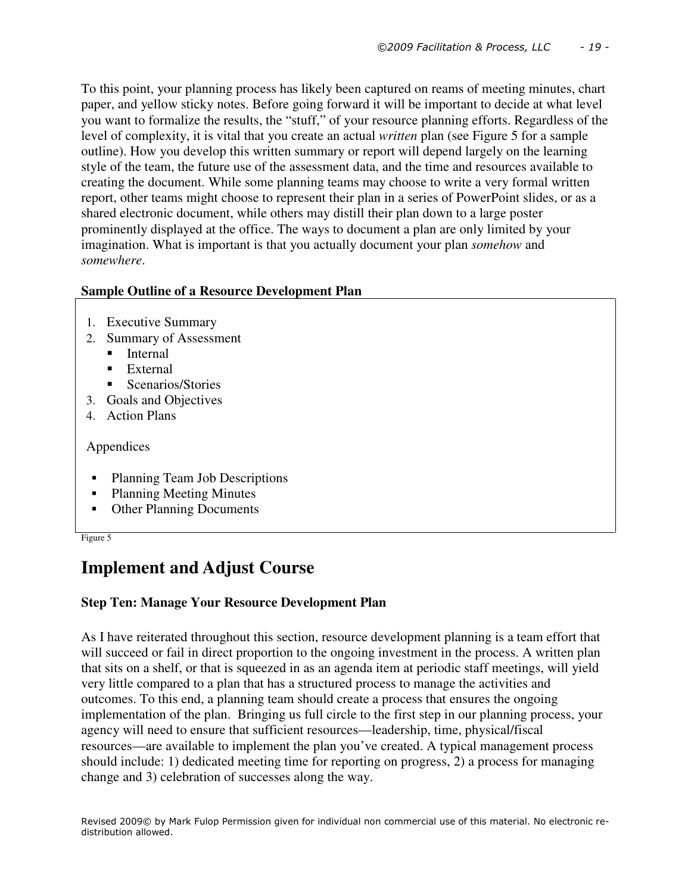To this point, your planning process has likely been captured on reams of meeting minutes, chart paper, and yellow sticky notes. Before going forward it will be important to decide at what level you want to formalize the results, the "stuff," of your resource planning efforts. Regardless of the level of complexity, it is vital that you create an actual *written* plan (see Figure 5 for a sample outline). How you develop this written summary or report will depend largely on the learning style of the team, the future use of the assessment data, and the time and resources available to creating the document. While some planning teams may choose to write a very formal written report, other teams might choose to represent their plan in a series of PowerPoint slides, or as a shared electronic document, while others may distill their plan down to a large poster prominently displayed at the office. The ways to document a plan are only limited by your imagination. What is important is that you actually document your plan *somehow* and *somewhere*.

## **Sample Outline of a Resource Development Plan**

- 1. Executive Summary
- 2. Summary of Assessment
	- **Internal**
	- **External**
	- Scenarios/Stories
- 3. Goals and Objectives
- 4. Action Plans

Appendices

- Planning Team Job Descriptions
- Planning Meeting Minutes
- Other Planning Documents

Figure 5

# **Implement and Adjust Course**

## **Step Ten: Manage Your Resource Development Plan**

As I have reiterated throughout this section, resource development planning is a team effort that will succeed or fail in direct proportion to the ongoing investment in the process. A written plan that sits on a shelf, or that is squeezed in as an agenda item at periodic staff meetings, will yield very little compared to a plan that has a structured process to manage the activities and outcomes. To this end, a planning team should create a process that ensures the ongoing implementation of the plan. Bringing us full circle to the first step in our planning process, your agency will need to ensure that sufficient resources—leadership, time, physical/fiscal resources—are available to implement the plan you've created. A typical management process should include: 1) dedicated meeting time for reporting on progress, 2) a process for managing change and 3) celebration of successes along the way.